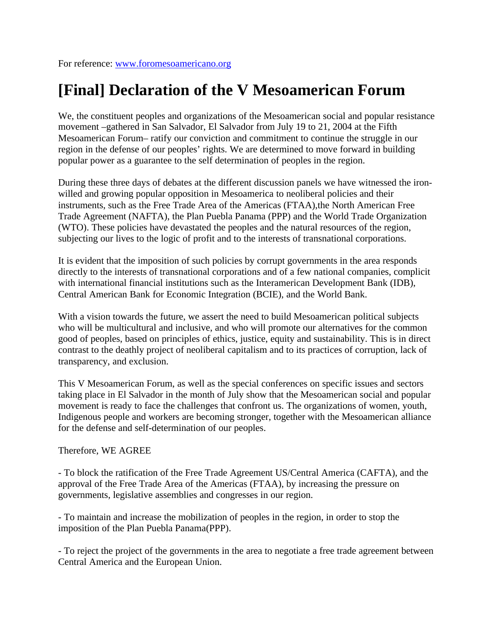## **[Final] Declaration of the V Mesoamerican Forum**

We, the constituent peoples and organizations of the Mesoamerican social and popular resistance movement –gathered in San Salvador, El Salvador from July 19 to 21, 2004 at the Fifth Mesoamerican Forum– ratify our conviction and commitment to continue the struggle in our region in the defense of our peoples' rights. We are determined to move forward in building popular power as a guarantee to the self determination of peoples in the region.

During these three days of debates at the different discussion panels we have witnessed the ironwilled and growing popular opposition in Mesoamerica to neoliberal policies and their instruments, such as the Free Trade Area of the Americas (FTAA),the North American Free Trade Agreement (NAFTA), the Plan Puebla Panama (PPP) and the World Trade Organization (WTO). These policies have devastated the peoples and the natural resources of the region, subjecting our lives to the logic of profit and to the interests of transnational corporations.

It is evident that the imposition of such policies by corrupt governments in the area responds directly to the interests of transnational corporations and of a few national companies, complicit with international financial institutions such as the Interamerican Development Bank (IDB), Central American Bank for Economic Integration (BCIE), and the World Bank.

With a vision towards the future, we assert the need to build Mesoamerican political subjects who will be multicultural and inclusive, and who will promote our alternatives for the common good of peoples, based on principles of ethics, justice, equity and sustainability. This is in direct contrast to the deathly project of neoliberal capitalism and to its practices of corruption, lack of transparency, and exclusion.

This V Mesoamerican Forum, as well as the special conferences on specific issues and sectors taking place in El Salvador in the month of July show that the Mesoamerican social and popular movement is ready to face the challenges that confront us. The organizations of women, youth, Indigenous people and workers are becoming stronger, together with the Mesoamerican alliance for the defense and self-determination of our peoples.

## Therefore, WE AGREE

- To block the ratification of the Free Trade Agreement US/Central America (CAFTA), and the approval of the Free Trade Area of the Americas (FTAA), by increasing the pressure on governments, legislative assemblies and congresses in our region.

- To maintain and increase the mobilization of peoples in the region, in order to stop the imposition of the Plan Puebla Panama(PPP).

- To reject the project of the governments in the area to negotiate a free trade agreement between Central America and the European Union.